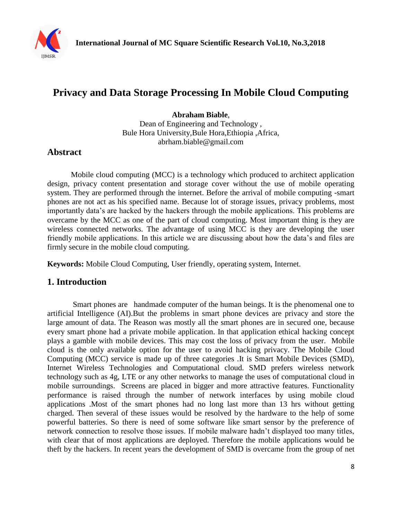

# **Privacy and Data Storage Processing In Mobile Cloud Computing**

**Abraham Biable**,

Dean of Engineering and Technology , Bule Hora University,Bule Hora,Ethiopia ,Africa, [abrham.biable@gmail.com](mailto:abrham.biable@gmail.com)

# **Abstract**

Mobile cloud computing (MCC) is a technology which produced to architect application design, privacy content presentation and storage cover without the use of mobile operating system. They are performed through the internet. Before the arrival of mobile computing -smart phones are not act as his specified name. Because lot of storage issues, privacy problems, most importantly data's are hacked by the hackers through the mobile applications. This problems are overcame by the MCC as one of the part of cloud computing. Most important thing is they are wireless connected networks. The advantage of using MCC is they are developing the user friendly mobile applications. In this article we are discussing about how the data's and files are firmly secure in the mobile cloud computing.

**Keywords:** Mobile Cloud Computing, User friendly, operating system, Internet.

# **1. Introduction**

Smart phones are handmade computer of the human beings. It is the phenomenal one to artificial Intelligence (AI).But the problems in smart phone devices are privacy and store the large amount of data. The Reason was mostly all the smart phones are in secured one, because every smart phone had a private mobile application. In that application ethical hacking concept plays a gamble with mobile devices. This may cost the loss of privacy from the user. Mobile cloud is the only available option for the user to avoid hacking privacy. The Mobile Cloud Computing (MCC) service is made up of three categories .It is Smart Mobile Devices (SMD), Internet Wireless Technologies and Computational cloud. SMD prefers wireless network technology such as 4g, LTE or any other networks to manage the uses of computational cloud in mobile surroundings. Screens are placed in bigger and more attractive features. Functionality performance is raised through the number of network interfaces by using mobile cloud applications .Most of the smart phones had no long last more than 13 hrs without getting charged. Then several of these issues would be resolved by the hardware to the help of some powerful batteries. So there is need of some software like smart sensor by the preference of network connection to resolve those issues. If mobile malware hadn't displayed too many titles, with clear that of most applications are deployed. Therefore the mobile applications would be theft by the hackers. In recent years the development of SMD is overcame from the group of net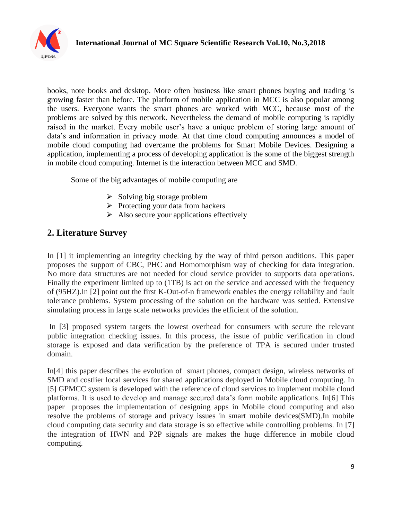

books, note books and desktop. More often business like smart phones buying and trading is growing faster than before. The platform of mobile application in MCC is also popular among the users. Everyone wants the smart phones are worked with MCC, because most of the problems are solved by this network. Nevertheless the demand of mobile computing is rapidly raised in the market. Every mobile user's have a unique problem of storing large amount of data's and information in privacy mode. At that time cloud computing announces a model of mobile cloud computing had overcame the problems for Smart Mobile Devices. Designing a application, implementing a process of developing application is the some of the biggest strength in mobile cloud computing. Internet is the interaction between MCC and SMD.

Some of the big advantages of mobile computing are

- $\triangleright$  Solving big storage problem
- $\triangleright$  Protecting your data from hackers
- $\triangleright$  Also secure your applications effectively

# **2. Literature Survey**

In [1] it implementing an integrity checking by the way of third person auditions. This paper proposes the support of CBC, PHC and Homomorphism way of checking for data integration. No more data structures are not needed for cloud service provider to supports data operations. Finally the experiment limited up to (1TB) is act on the service and accessed with the frequency of (95HZ).In [2] point out the first K-Out-of-n framework enables the energy reliability and fault tolerance problems. System processing of the solution on the hardware was settled. Extensive simulating process in large scale networks provides the efficient of the solution.

In [3] proposed system targets the lowest overhead for consumers with secure the relevant public integration checking issues. In this process, the issue of public verification in cloud storage is exposed and data verification by the preference of TPA is secured under trusted domain.

In[4] this paper describes the evolution of smart phones, compact design, wireless networks of SMD and costlier local services for shared applications deployed in Mobile cloud computing. In [5] GPMCC system is developed with the reference of cloud services to implement mobile cloud platforms. It is used to develop and manage secured data's form mobile applications. In[6] This paper proposes the implementation of designing apps in Mobile cloud computing and also resolve the problems of storage and privacy issues in smart mobile devices(SMD).In mobile cloud computing data security and data storage is so effective while controlling problems. In [7] the integration of HWN and P2P signals are makes the huge difference in mobile cloud computing.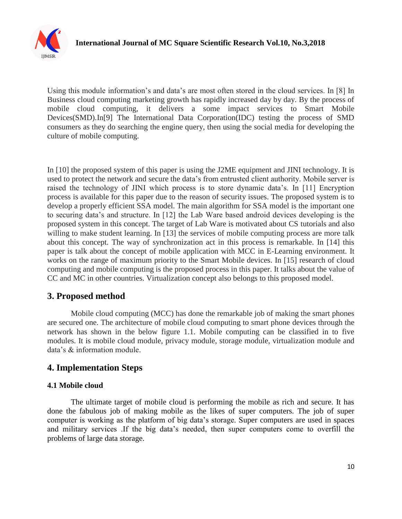

Using this module information's and data's are most often stored in the cloud services. In [8] In Business cloud computing marketing growth has rapidly increased day by day. By the process of mobile cloud computing, it delivers a some impact services to Smart Mobile Devices(SMD).In[9] The International Data Corporation(IDC) testing the process of SMD consumers as they do searching the engine query, then using the social media for developing the culture of mobile computing.

In [10] the proposed system of this paper is using the J2ME equipment and JINI technology. It is used to protect the network and secure the data's from entrusted client authority. Mobile server is raised the technology of JINI which process is to store dynamic data's. In [11] Encryption process is available for this paper due to the reason of security issues. The proposed system is to develop a properly efficient SSA model. The main algorithm for SSA model is the important one to securing data's and structure. In [12] the Lab Ware based android devices developing is the proposed system in this concept. The target of Lab Ware is motivated about CS tutorials and also willing to make student learning. In [13] the services of mobile computing process are more talk about this concept. The way of synchronization act in this process is remarkable. In [14] this paper is talk about the concept of mobile application with MCC in E-Learning environment. It works on the range of maximum priority to the Smart Mobile devices. In [15] research of cloud computing and mobile computing is the proposed process in this paper. It talks about the value of CC and MC in other countries. Virtualization concept also belongs to this proposed model.

# **3. Proposed method**

Mobile cloud computing (MCC) has done the remarkable job of making the smart phones are secured one. The architecture of mobile cloud computing to smart phone devices through the network has shown in the below figure 1.1. Mobile computing can be classified in to five modules. It is mobile cloud module, privacy module, storage module, virtualization module and data's & information module.

# **4. Implementation Steps**

#### **4.1 Mobile cloud**

The ultimate target of mobile cloud is performing the mobile as rich and secure. It has done the fabulous job of making mobile as the likes of super computers. The job of super computer is working as the platform of big data's storage. Super computers are used in spaces and military services .If the big data's needed, then super computers come to overfill the problems of large data storage.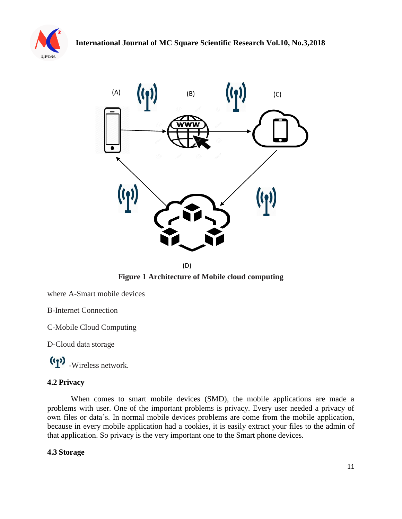



(D)

**Figure 1 Architecture of Mobile cloud computing**

where A-Smart mobile devices

B-Internet Connection

C-Mobile Cloud Computing

D-Cloud data storage

-Wireless network.

#### **4.2 Privacy**

When comes to smart mobile devices (SMD), the mobile applications are made a problems with user. One of the important problems is privacy. Every user needed a privacy of own files or data's. In normal mobile devices problems are come from the mobile application, because in every mobile application had a cookies, it is easily extract your files to the admin of that application. So privacy is the very important one to the Smart phone devices.

#### **4.3 Storage**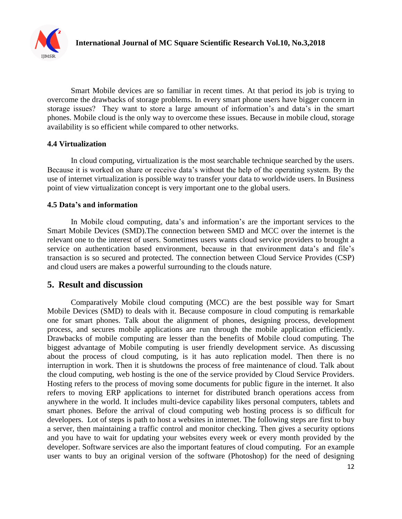

Smart Mobile devices are so familiar in recent times. At that period its job is trying to overcome the drawbacks of storage problems. In every smart phone users have bigger concern in storage issues? They want to store a large amount of information's and data's in the smart phones. Mobile cloud is the only way to overcome these issues. Because in mobile cloud, storage availability is so efficient while compared to other networks.

#### **4.4 Virtualization**

In cloud computing, virtualization is the most searchable technique searched by the users. Because it is worked on share or receive data's without the help of the operating system. By the use of internet virtualization is possible way to transfer your data to worldwide users. In Business point of view virtualization concept is very important one to the global users.

#### **4.5 Data's and information**

In Mobile cloud computing, data's and information's are the important services to the Smart Mobile Devices (SMD).The connection between SMD and MCC over the internet is the relevant one to the interest of users. Sometimes users wants cloud service providers to brought a service on authentication based environment, because in that environment data's and file's transaction is so secured and protected. The connection between Cloud Service Provides (CSP) and cloud users are makes a powerful surrounding to the clouds nature.

#### **5. Result and discussion**

Comparatively Mobile cloud computing (MCC) are the best possible way for Smart Mobile Devices (SMD) to deals with it. Because composure in cloud computing is remarkable one for smart phones. Talk about the alignment of phones, designing process, development process, and secures mobile applications are run through the mobile application efficiently. Drawbacks of mobile computing are lesser than the benefits of Mobile cloud computing. The biggest advantage of Mobile computing is user friendly development service. As discussing about the process of cloud computing, is it has auto replication model. Then there is no interruption in work. Then it is shutdowns the process of free maintenance of cloud. Talk about the cloud computing, web hosting is the one of the service provided by Cloud Service Providers. Hosting refers to the process of moving some documents for public figure in the internet. It also refers to moving ERP applications to internet for distributed branch operations access from anywhere in the world. It includes multi-device capability likes personal computers, tablets and smart phones. Before the arrival of cloud computing web hosting process is so difficult for developers. Lot of steps is path to host a websites in internet. The following steps are first to buy a server, then maintaining a traffic control and monitor checking. Then gives a security options and you have to wait for updating your websites every week or every month provided by the developer. Software services are also the important features of cloud computing. For an example user wants to buy an original version of the software (Photoshop) for the need of designing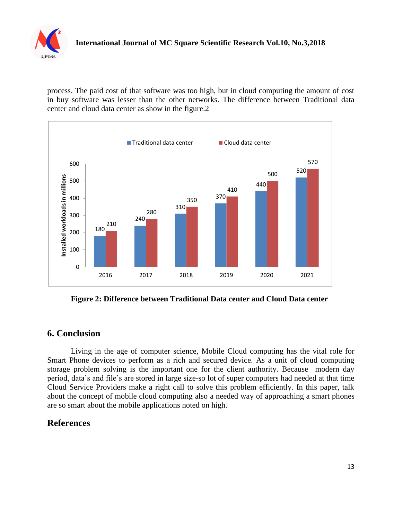

process. The paid cost of that software was too high, but in cloud computing the amount of cost in buy software was lesser than the other networks. The difference between Traditional data center and cloud data center as show in the figure.2



**Figure 2: Difference between Traditional Data center and Cloud Data center**

# **6. Conclusion**

Living in the age of computer science, Mobile Cloud computing has the vital role for Smart Phone devices to perform as a rich and secured device. As a unit of cloud computing storage problem solving is the important one for the client authority. Because modern day period, data's and file's are stored in large size-so lot of super computers had needed at that time Cloud Service Providers make a right call to solve this problem efficiently. In this paper, talk about the concept of mobile cloud computing also a needed way of approaching a smart phones are so smart about the mobile applications noted on high.

# **References**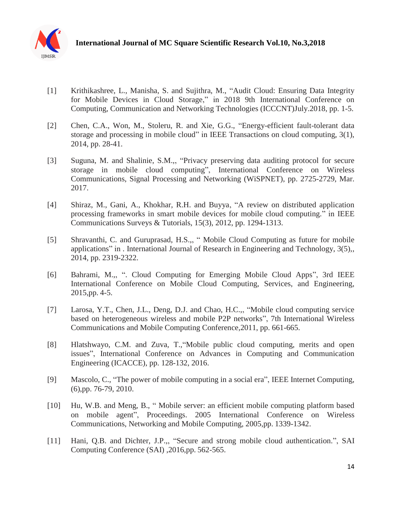

- [1] Krithikashree, L., Manisha, S. and Sujithra, M., "Audit Cloud: Ensuring Data Integrity for Mobile Devices in Cloud Storage," in 2018 9th International Conference on Computing, Communication and Networking Technologies (ICCCNT)July.2018, pp. 1-5.
- [2] Chen, C.A., Won, M., Stoleru, R. and Xie, G.G., "Energy-efficient fault-tolerant data storage and processing in mobile cloud" in IEEE Transactions on cloud computing, 3(1), 2014, pp. 28-41.
- [3] Suguna, M. and Shalinie, S.M.,, "Privacy preserving data auditing protocol for secure storage in mobile cloud computing", International Conference on Wireless Communications, Signal Processing and Networking (WiSPNET), pp. 2725-2729, Mar. 2017.
- [4] Shiraz, M., Gani, A., Khokhar, R.H. and Buyya, "A review on distributed application processing frameworks in smart mobile devices for mobile cloud computing." in IEEE Communications Surveys & Tutorials, 15(3), 2012, pp. 1294-1313.
- [5] Shravanthi, C. and Guruprasad, H.S.,, " Mobile Cloud Computing as future for mobile applications" in . International Journal of Research in Engineering and Technology, 3(5),, 2014, pp. 2319-2322.
- [6] Bahrami, M.,, ". Cloud Computing for Emerging Mobile Cloud Apps", 3rd IEEE International Conference on Mobile Cloud Computing, Services, and Engineering, 2015,pp. 4-5.
- [7] Larosa, Y.T., Chen, J.L., Deng, D.J. and Chao, H.C.,, "Mobile cloud computing service based on heterogeneous wireless and mobile P2P networks", 7th International Wireless Communications and Mobile Computing Conference,2011, pp. 661-665.
- [8] Hlatshwayo, C.M. and Zuva, T.,"Mobile public cloud computing, merits and open issues", International Conference on Advances in Computing and Communication Engineering (ICACCE), pp. 128-132, 2016.
- [9] Mascolo, C., "The power of mobile computing in a social era", IEEE Internet Computing, (6),pp. 76-79, 2010.
- [10] Hu, W.B. and Meng, B., "Mobile server: an efficient mobile computing platform based on mobile agent", Proceedings. 2005 International Conference on Wireless Communications, Networking and Mobile Computing, 2005,pp. 1339-1342.
- [11] Hani, Q.B. and Dichter, J.P.,, "Secure and strong mobile cloud authentication.", SAI Computing Conference (SAI) ,2016,pp. 562-565.